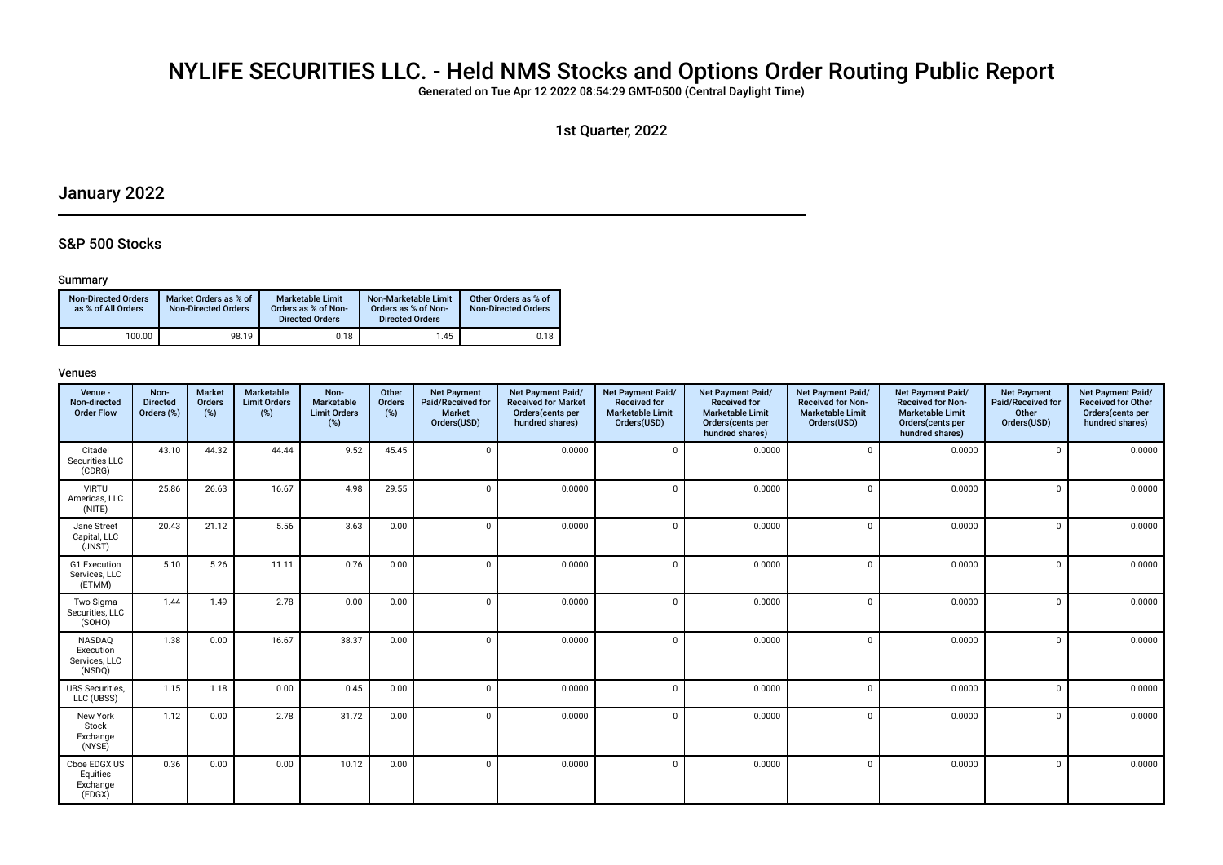## NYLIFE SECURITIES LLC. - Held NMS Stocks and Options Order Routing Public Report

Generated on Tue Apr 12 2022 08:54:29 GMT-0500 (Central Daylight Time)

1st Quarter, 2022

## January 2022

### S&P 500 Stocks

#### Summary

| Non-Directed Orders<br>as % of All Orders | Market Orders as % of<br><b>Non-Directed Orders</b> | Marketable Limit<br>Orders as % of Non-<br><b>Directed Orders</b> | Non-Marketable Limit<br>Orders as % of Non-<br><b>Directed Orders</b> | Other Orders as % of<br><b>Non-Directed Orders</b> |
|-------------------------------------------|-----------------------------------------------------|-------------------------------------------------------------------|-----------------------------------------------------------------------|----------------------------------------------------|
| 100.00                                    | 98.19                                               | 0.18                                                              | 1.45                                                                  | 0.18                                               |

| Venue -<br>Non-directed<br><b>Order Flow</b>          | Non-<br><b>Directed</b><br>Orders (%) | <b>Market</b><br>Orders<br>(%) | Marketable<br><b>Limit Orders</b><br>(%) | Non-<br>Marketable<br><b>Limit Orders</b><br>$(\%)$ | Other<br>Orders<br>(%) | <b>Net Payment</b><br>Paid/Received for<br>Market<br>Orders(USD) | Net Payment Paid/<br><b>Received for Market</b><br>Orders(cents per<br>hundred shares) | Net Payment Paid/<br><b>Received for</b><br><b>Marketable Limit</b><br>Orders(USD) | Net Payment Paid/<br><b>Received for</b><br><b>Marketable Limit</b><br>Orders(cents per<br>hundred shares) | Net Payment Paid/<br><b>Received for Non-</b><br><b>Marketable Limit</b><br>Orders(USD) | Net Payment Paid/<br><b>Received for Non-</b><br><b>Marketable Limit</b><br>Orders(cents per<br>hundred shares) | <b>Net Payment</b><br>Paid/Received for<br>Other<br>Orders(USD) | Net Payment Paid/<br><b>Received for Other</b><br>Orders(cents per<br>hundred shares) |
|-------------------------------------------------------|---------------------------------------|--------------------------------|------------------------------------------|-----------------------------------------------------|------------------------|------------------------------------------------------------------|----------------------------------------------------------------------------------------|------------------------------------------------------------------------------------|------------------------------------------------------------------------------------------------------------|-----------------------------------------------------------------------------------------|-----------------------------------------------------------------------------------------------------------------|-----------------------------------------------------------------|---------------------------------------------------------------------------------------|
| Citadel<br>Securities LLC<br>(CDRG)                   | 43.10                                 | 44.32                          | 44.44                                    | 9.52                                                | 45.45                  | $\Omega$                                                         | 0.0000                                                                                 | $\Omega$                                                                           | 0.0000                                                                                                     | $\Omega$                                                                                | 0.0000                                                                                                          | $\Omega$                                                        | 0.0000                                                                                |
| <b>VIRTU</b><br>Americas, LLC<br>(NITE)               | 25.86                                 | 26.63                          | 16.67                                    | 4.98                                                | 29.55                  | $\Omega$                                                         | 0.0000                                                                                 | $\Omega$                                                                           | 0.0000                                                                                                     | $\Omega$                                                                                | 0.0000                                                                                                          | $\Omega$                                                        | 0.0000                                                                                |
| Jane Street<br>Capital, LLC<br>(JNST)                 | 20.43                                 | 21.12                          | 5.56                                     | 3.63                                                | 0.00                   | $\Omega$                                                         | 0.0000                                                                                 | $\Omega$                                                                           | 0.0000                                                                                                     | $\Omega$                                                                                | 0.0000                                                                                                          | $\mathbf 0$                                                     | 0.0000                                                                                |
| G1 Execution<br>Services, LLC<br>(ETMM)               | 5.10                                  | 5.26                           | 11.11                                    | 0.76                                                | 0.00                   | $\Omega$                                                         | 0.0000                                                                                 | $\cap$                                                                             | 0.0000                                                                                                     | $\Omega$                                                                                | 0.0000                                                                                                          | $\mathbf 0$                                                     | 0.0000                                                                                |
| Two Sigma<br>Securities, LLC<br>(SOHO)                | 1.44                                  | 1.49                           | 2.78                                     | 0.00                                                | 0.00                   | $\Omega$                                                         | 0.0000                                                                                 | $\Omega$                                                                           | 0.0000                                                                                                     | $\Omega$                                                                                | 0.0000                                                                                                          | $\Omega$                                                        | 0.0000                                                                                |
| <b>NASDAQ</b><br>Execution<br>Services, LLC<br>(NSDQ) | 1.38                                  | 0.00                           | 16.67                                    | 38.37                                               | 0.00                   | $\Omega$                                                         | 0.0000                                                                                 | $\Omega$                                                                           | 0.0000                                                                                                     | $\Omega$                                                                                | 0.0000                                                                                                          | $\Omega$                                                        | 0.0000                                                                                |
| <b>UBS Securities.</b><br>LLC (UBSS)                  | 1.15                                  | 1.18                           | 0.00                                     | 0.45                                                | 0.00                   | $\Omega$                                                         | 0.0000                                                                                 | $\Omega$                                                                           | 0.0000                                                                                                     | $\Omega$                                                                                | 0.0000                                                                                                          | $\mathbf 0$                                                     | 0.0000                                                                                |
| New York<br>Stock<br>Exchange<br>(NYSE)               | 1.12                                  | 0.00                           | 2.78                                     | 31.72                                               | 0.00                   | $\Omega$                                                         | 0.0000                                                                                 | $\Omega$                                                                           | 0.0000                                                                                                     | $\Omega$                                                                                | 0.0000                                                                                                          | $\Omega$                                                        | 0.0000                                                                                |
| Cboe EDGX US<br>Equities<br>Exchange<br>(EDGX)        | 0.36                                  | 0.00                           | 0.00                                     | 10.12                                               | 0.00                   | $\Omega$                                                         | 0.0000                                                                                 | $\cap$                                                                             | 0.0000                                                                                                     | $\Omega$                                                                                | 0.0000                                                                                                          | $\Omega$                                                        | 0.0000                                                                                |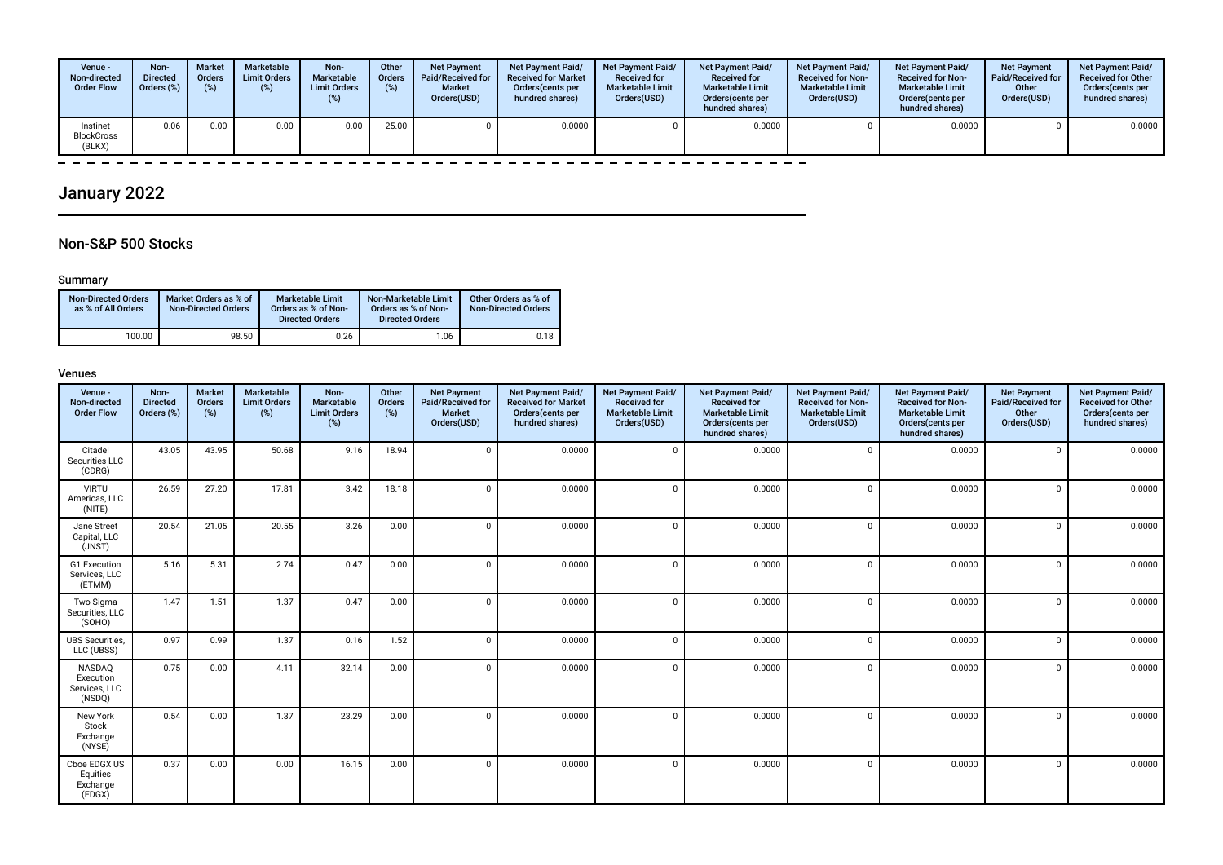| Venue -<br>Non-directed<br><b>Order Flow</b> | Non-<br><b>Directed</b><br>Orders (%) | <b>Market</b><br><b>Orders</b><br>(%) | Marketable<br><b>Limit Orders</b><br>$(\%)$ | Non-<br><b>Marketable</b><br><b>Limit Orders</b> | Other<br><b>Orders</b><br>(%) | <b>Net Payment</b><br>Paid/Received for<br><b>Market</b><br>Orders(USD) | Net Payment Paid/<br><b>Received for Market</b><br>Orders(cents per<br>hundred shares) | <b>Net Payment Paid/</b><br><b>Received for</b><br><b>Marketable Limit</b><br>Orders(USD) | Net Payment Paid/<br><b>Received for</b><br><b>Marketable Limit</b><br>Orders (cents per<br>hundred shares) | <b>Net Payment Paid/</b><br><b>Received for Non-</b><br><b>Marketable Limit</b><br>Orders(USD) | <b>Net Payment Paid/</b><br><b>Received for Non-</b><br><b>Marketable Limit</b><br>Orders(cents per<br>hundred shares) | <b>Net Payment</b><br>Paid/Received for<br>Other<br>Orders(USD) | <b>Net Payment Paid/</b><br><b>Received for Other</b><br>Orders (cents per<br>hundred shares) |
|----------------------------------------------|---------------------------------------|---------------------------------------|---------------------------------------------|--------------------------------------------------|-------------------------------|-------------------------------------------------------------------------|----------------------------------------------------------------------------------------|-------------------------------------------------------------------------------------------|-------------------------------------------------------------------------------------------------------------|------------------------------------------------------------------------------------------------|------------------------------------------------------------------------------------------------------------------------|-----------------------------------------------------------------|-----------------------------------------------------------------------------------------------|
| Instinet<br><b>BlockCross</b><br>(BLKX)      | 0.06                                  | 0.00                                  | 0.00                                        | 0.00                                             | 25.00                         |                                                                         | 0.0000                                                                                 |                                                                                           | 0.0000                                                                                                      |                                                                                                | 0.0000                                                                                                                 |                                                                 | 0.0000                                                                                        |

#### $\equiv$   $\equiv$  $\overline{\phantom{a}}$  $\equiv$   $\equiv$

## January 2022

### Non-S&P 500 Stocks

### Summary

 $\overline{\phantom{0}}$ 

| <b>Non-Directed Orders</b><br>as % of All Orders | Market Orders as % of<br>Non-Directed Orders | <b>Marketable Limit</b><br>Orders as % of Non-<br><b>Directed Orders</b> | Non-Marketable Limit<br>Orders as % of Non-<br><b>Directed Orders</b> | Other Orders as % of<br><b>Non-Directed Orders</b> |
|--------------------------------------------------|----------------------------------------------|--------------------------------------------------------------------------|-----------------------------------------------------------------------|----------------------------------------------------|
| 100.00                                           | 98.50                                        | 0.26                                                                     | 1.06                                                                  | 0.18                                               |

| Venue -<br>Non-directed<br><b>Order Flow</b>   | Non-<br><b>Directed</b><br>Orders (%) | <b>Market</b><br>Orders<br>$(\%)$ | Marketable<br><b>Limit Orders</b><br>$(\%)$ | Non-<br>Marketable<br><b>Limit Orders</b><br>$(\%)$ | Other<br>Orders<br>(%) | <b>Net Payment</b><br>Paid/Received for<br>Market<br>Orders(USD) | Net Payment Paid/<br><b>Received for Market</b><br>Orders(cents per<br>hundred shares) | Net Payment Paid/<br><b>Received for</b><br><b>Marketable Limit</b><br>Orders(USD) | Net Payment Paid/<br><b>Received for</b><br><b>Marketable Limit</b><br>Orders(cents per<br>hundred shares) | Net Payment Paid/<br><b>Received for Non-</b><br><b>Marketable Limit</b><br>Orders(USD) | Net Payment Paid/<br><b>Received for Non-</b><br><b>Marketable Limit</b><br>Orders(cents per<br>hundred shares) | <b>Net Payment</b><br>Paid/Received for<br>Other<br>Orders(USD) | Net Payment Paid/<br><b>Received for Other</b><br>Orders(cents per<br>hundred shares) |
|------------------------------------------------|---------------------------------------|-----------------------------------|---------------------------------------------|-----------------------------------------------------|------------------------|------------------------------------------------------------------|----------------------------------------------------------------------------------------|------------------------------------------------------------------------------------|------------------------------------------------------------------------------------------------------------|-----------------------------------------------------------------------------------------|-----------------------------------------------------------------------------------------------------------------|-----------------------------------------------------------------|---------------------------------------------------------------------------------------|
| Citadel<br>Securities LLC<br>(CDRG)            | 43.05                                 | 43.95                             | 50.68                                       | 9.16                                                | 18.94                  | $\Omega$                                                         | 0.0000                                                                                 | $\cap$                                                                             | 0.0000                                                                                                     | $\Omega$                                                                                | 0.0000                                                                                                          | $\Omega$                                                        | 0.0000                                                                                |
| <b>VIRTU</b><br>Americas, LLC<br>(NITE)        | 26.59                                 | 27.20                             | 17.81                                       | 3.42                                                | 18.18                  | $\Omega$                                                         | 0.0000                                                                                 | $\Omega$                                                                           | 0.0000                                                                                                     | $\Omega$                                                                                | 0.0000                                                                                                          | $\Omega$                                                        | 0.0000                                                                                |
| Jane Street<br>Capital, LLC<br>(JNST)          | 20.54                                 | 21.05                             | 20.55                                       | 3.26                                                | 0.00                   | $\Omega$                                                         | 0.0000                                                                                 | $\Omega$                                                                           | 0.0000                                                                                                     | $\Omega$                                                                                | 0.0000                                                                                                          | $\mathbf 0$                                                     | 0.0000                                                                                |
| G1 Execution<br>Services, LLC<br>(ETMM)        | 5.16                                  | 5.31                              | 2.74                                        | 0.47                                                | 0.00                   | $\Omega$                                                         | 0.0000                                                                                 | $\cap$                                                                             | 0.0000                                                                                                     | $\Omega$                                                                                | 0.0000                                                                                                          | $\Omega$                                                        | 0.0000                                                                                |
| Two Sigma<br>Securities, LLC<br>(SOHO)         | 1.47                                  | 1.51                              | 1.37                                        | 0.47                                                | 0.00                   | $\Omega$                                                         | 0.0000                                                                                 | $\Omega$                                                                           | 0.0000                                                                                                     | $\Omega$                                                                                | 0.0000                                                                                                          | $\Omega$                                                        | 0.0000                                                                                |
| <b>UBS Securities.</b><br>LLC (UBSS)           | 0.97                                  | 0.99                              | 1.37                                        | 0.16                                                | 1.52                   | $\mathbf 0$                                                      | 0.0000                                                                                 | $\Omega$                                                                           | 0.0000                                                                                                     | $\Omega$                                                                                | 0.0000                                                                                                          | $\mathbf 0$                                                     | 0.0000                                                                                |
| NASDAQ<br>Execution<br>Services, LLC<br>(NSDQ) | 0.75                                  | 0.00                              | 4.11                                        | 32.14                                               | 0.00                   | $\Omega$                                                         | 0.0000                                                                                 | $\Omega$                                                                           | 0.0000                                                                                                     | $\Omega$                                                                                | 0.0000                                                                                                          | $\Omega$                                                        | 0.0000                                                                                |
| New York<br>Stock<br>Exchange<br>(NYSE)        | 0.54                                  | 0.00                              | 1.37                                        | 23.29                                               | 0.00                   | $\Omega$                                                         | 0.0000                                                                                 | $\Omega$                                                                           | 0.0000                                                                                                     | $\Omega$                                                                                | 0.0000                                                                                                          | $\Omega$                                                        | 0.0000                                                                                |
| Cboe EDGX US<br>Equities<br>Exchange<br>(EDGX) | 0.37                                  | 0.00                              | 0.00                                        | 16.15                                               | 0.00                   | $\Omega$                                                         | 0.0000                                                                                 | $\Omega$                                                                           | 0.0000                                                                                                     | $\Omega$                                                                                | 0.0000                                                                                                          | $\Omega$                                                        | 0.0000                                                                                |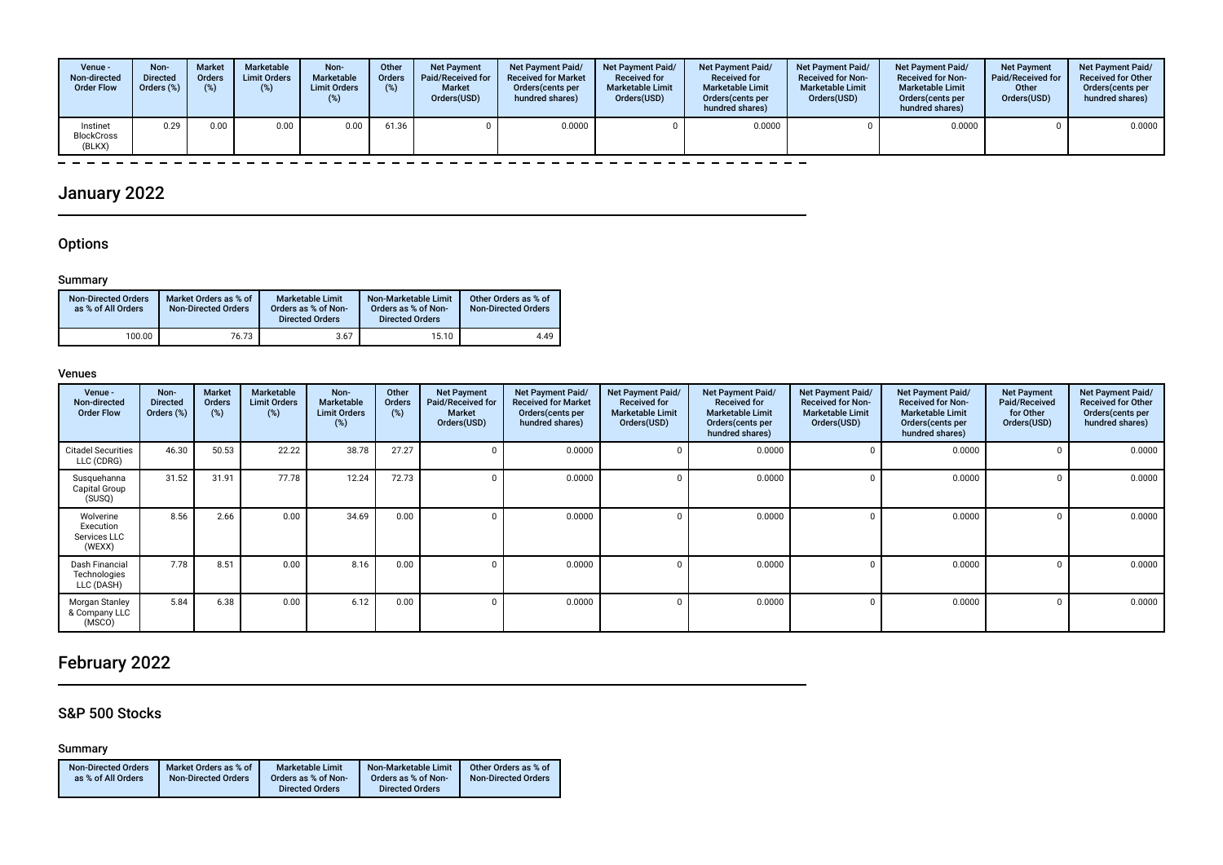| Venue -<br>Non-directed<br><b>Order Flow</b> | Non-<br><b>Directed</b><br>Orders (%) | <b>Market</b><br><b>Orders</b><br>(%) | Marketable<br><b>Limit Orders</b><br>$(\%)$ | Non-<br><b>Marketable</b><br><b>Limit Orders</b> | Other<br><b>Orders</b><br>(%) | <b>Net Payment</b><br>Paid/Received for<br><b>Market</b><br>Orders(USD) | Net Payment Paid/<br><b>Received for Market</b><br>Orders(cents per<br>hundred shares) | <b>Net Payment Paid/</b><br><b>Received for</b><br><b>Marketable Limit</b><br>Orders(USD) | <b>Net Payment Paid/</b><br><b>Received for</b><br><b>Marketable Limit</b><br>Orders (cents per<br>hundred shares) | <b>Net Payment Paid/</b><br><b>Received for Non-</b><br><b>Marketable Limit</b><br>Orders(USD) | <b>Net Payment Paid/</b><br><b>Received for Non-</b><br><b>Marketable Limit</b><br>Orders(cents per<br>hundred shares) | <b>Net Payment</b><br>Paid/Received for<br>Other<br>Orders(USD) | <b>Net Payment Paid/</b><br><b>Received for Other</b><br>Orders (cents per<br>hundred shares) |
|----------------------------------------------|---------------------------------------|---------------------------------------|---------------------------------------------|--------------------------------------------------|-------------------------------|-------------------------------------------------------------------------|----------------------------------------------------------------------------------------|-------------------------------------------------------------------------------------------|--------------------------------------------------------------------------------------------------------------------|------------------------------------------------------------------------------------------------|------------------------------------------------------------------------------------------------------------------------|-----------------------------------------------------------------|-----------------------------------------------------------------------------------------------|
| Instinet<br><b>BlockCross</b><br>(BLKX)      | 0.29                                  | 0.00                                  | 0.00                                        | $0.00\,$                                         | 61.36                         |                                                                         | 0.0000                                                                                 |                                                                                           | 0.0000                                                                                                             |                                                                                                | 0.0000                                                                                                                 |                                                                 | 0.0000                                                                                        |

#### $=$   $-$

## January 2022

### **Options**

 $\overline{\phantom{a}}$ 

### Summary

| <b>Non-Directed Orders</b><br>as % of All Orders | Market Orders as % of<br><b>Non-Directed Orders</b> | <b>Marketable Limit</b><br>Orders as % of Non-<br><b>Directed Orders</b> | Non-Marketable Limit<br>Orders as % of Non-<br><b>Directed Orders</b> | Other Orders as % of<br><b>Non-Directed Orders</b> |
|--------------------------------------------------|-----------------------------------------------------|--------------------------------------------------------------------------|-----------------------------------------------------------------------|----------------------------------------------------|
| 100.00                                           | 76.73                                               | 3.67                                                                     | 15.10                                                                 | 4.49                                               |

#### Venues

| Venue -<br>Non-directed<br><b>Order Flow</b>     | Non-<br><b>Directed</b><br>Orders (%) | Market<br>Orders<br>(%) | <b>Marketable</b><br><b>Limit Orders</b><br>(%) | Non-<br>Marketable<br><b>Limit Orders</b><br>(%) | Other<br>Orders<br>(%) | <b>Net Payment</b><br>Paid/Received for<br><b>Market</b><br>Orders(USD) | Net Payment Paid/<br><b>Received for Market</b><br>Orders (cents per<br>hundred shares) | Net Payment Paid/<br><b>Received for</b><br><b>Marketable Limit</b><br>Orders(USD) | Net Payment Paid/<br><b>Received for</b><br><b>Marketable Limit</b><br>Orders (cents per<br>hundred shares) | Net Payment Paid/<br><b>Received for Non-</b><br><b>Marketable Limit</b><br>Orders(USD) | Net Payment Paid/<br><b>Received for Non-</b><br><b>Marketable Limit</b><br>Orders (cents per<br>hundred shares) | <b>Net Payment</b><br>Paid/Received<br>for Other<br>Orders(USD) | Net Payment Paid/<br><b>Received for Other</b><br>Orders(cents per<br>hundred shares) |
|--------------------------------------------------|---------------------------------------|-------------------------|-------------------------------------------------|--------------------------------------------------|------------------------|-------------------------------------------------------------------------|-----------------------------------------------------------------------------------------|------------------------------------------------------------------------------------|-------------------------------------------------------------------------------------------------------------|-----------------------------------------------------------------------------------------|------------------------------------------------------------------------------------------------------------------|-----------------------------------------------------------------|---------------------------------------------------------------------------------------|
| <b>Citadel Securities</b><br>LLC (CDRG)          | 46.30                                 | 50.53                   | 22.22                                           | 38.78                                            | 27.27                  |                                                                         | 0.0000                                                                                  |                                                                                    | 0.0000                                                                                                      | $\Omega$                                                                                | 0.0000                                                                                                           |                                                                 | 0.0000                                                                                |
| Susquehanna<br>Capital Group<br>(SUSQ)           | 31.52                                 | 31.91                   | 77.78                                           | 12.24                                            | 72.73                  |                                                                         | 0.0000                                                                                  |                                                                                    | 0.0000                                                                                                      | $\Omega$                                                                                | 0.0000                                                                                                           |                                                                 | 0.0000                                                                                |
| Wolverine<br>Execution<br>Services LLC<br>(WEXX) | 8.56                                  | 2.66                    | 0.00                                            | 34.69                                            | 0.00                   |                                                                         | 0.0000                                                                                  |                                                                                    | 0.0000                                                                                                      | $\Omega$                                                                                | 0.0000                                                                                                           |                                                                 | 0.0000                                                                                |
| Dash Financial<br>Technologies<br>LLC (DASH)     | 7.78                                  | 8.51                    | 0.00                                            | 8.16                                             | 0.00                   |                                                                         | 0.0000                                                                                  |                                                                                    | 0.0000                                                                                                      |                                                                                         | 0.0000                                                                                                           |                                                                 | 0.0000                                                                                |
| Morgan Stanley<br>& Company LLC<br>(MSCO)        | 5.84                                  | 6.38                    | 0.00                                            | 6.12                                             | 0.00                   |                                                                         | 0.0000                                                                                  |                                                                                    | 0.0000                                                                                                      | $\Omega$                                                                                | 0.0000                                                                                                           | $\cap$                                                          | 0.0000                                                                                |

## February 2022

## S&P 500 Stocks

Summary

| <b>Non-Directed Orders</b><br>as % of All Orders | Market Orders as % of<br><b>Non-Directed Orders</b> | <b>Marketable Limit</b><br>Orders as % of Non- | Non-Marketable Limit<br>Orders as % of Non- | Other Orders as % of<br><b>Non-Directed Orders</b> |
|--------------------------------------------------|-----------------------------------------------------|------------------------------------------------|---------------------------------------------|----------------------------------------------------|
|                                                  |                                                     | <b>Directed Orders</b>                         | <b>Directed Orders</b>                      |                                                    |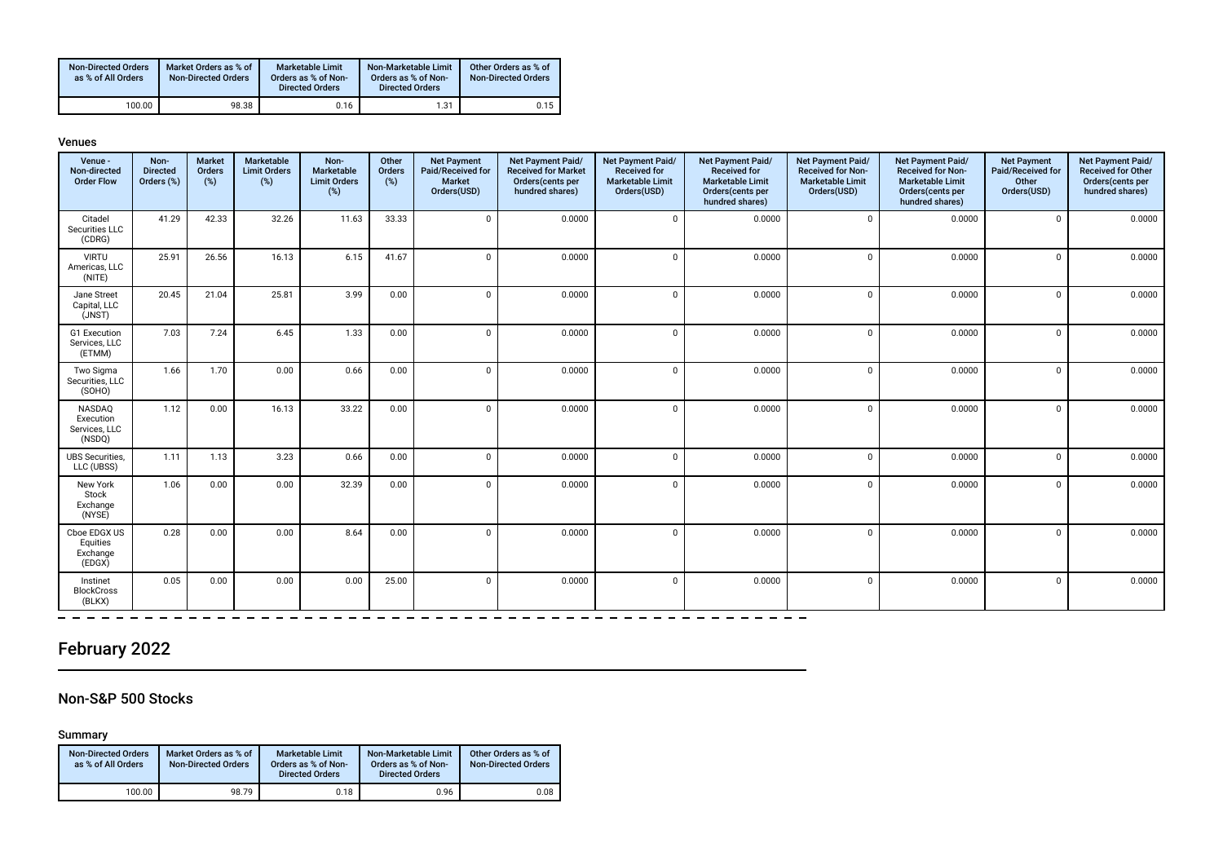| <b>Non-Directed Orders</b><br>as % of All Orders | Market Orders as % of<br><b>Non-Directed Orders</b> | Marketable Limit<br>Orders as % of Non-<br><b>Directed Orders</b> | Non-Marketable Limit<br>Orders as % of Non-<br><b>Directed Orders</b> | Other Orders as % of<br><b>Non-Directed Orders</b> |
|--------------------------------------------------|-----------------------------------------------------|-------------------------------------------------------------------|-----------------------------------------------------------------------|----------------------------------------------------|
| 100.00                                           | 98.38                                               | 0.16                                                              | 1.31                                                                  | 0.15                                               |

#### Venues

| Venue -<br>Non-directed<br><b>Order Flow</b>   | Non-<br><b>Directed</b><br>Orders (%) | <b>Market</b><br>Orders<br>(%) | Marketable<br><b>Limit Orders</b><br>(%) | Non-<br>Marketable<br><b>Limit Orders</b><br>(%) | Other<br>Orders<br>(%) | <b>Net Payment</b><br>Paid/Received for<br><b>Market</b><br>Orders(USD) | Net Payment Paid/<br><b>Received for Market</b><br>Orders(cents per<br>hundred shares) | Net Payment Paid/<br><b>Received for</b><br><b>Marketable Limit</b><br>Orders(USD) | Net Payment Paid/<br><b>Received for</b><br><b>Marketable Limit</b><br>Orders(cents per<br>hundred shares) | Net Payment Paid/<br><b>Received for Non-</b><br><b>Marketable Limit</b><br>Orders(USD) | Net Payment Paid/<br><b>Received for Non-</b><br><b>Marketable Limit</b><br>Orders(cents per<br>hundred shares) | <b>Net Payment</b><br>Paid/Received for<br>Other<br>Orders(USD) | Net Payment Paid/<br><b>Received for Other</b><br>Orders(cents per<br>hundred shares) |
|------------------------------------------------|---------------------------------------|--------------------------------|------------------------------------------|--------------------------------------------------|------------------------|-------------------------------------------------------------------------|----------------------------------------------------------------------------------------|------------------------------------------------------------------------------------|------------------------------------------------------------------------------------------------------------|-----------------------------------------------------------------------------------------|-----------------------------------------------------------------------------------------------------------------|-----------------------------------------------------------------|---------------------------------------------------------------------------------------|
| Citadel<br>Securities LLC<br>(CDRG)            | 41.29                                 | 42.33                          | 32.26                                    | 11.63                                            | 33.33                  | $\Omega$                                                                | 0.0000                                                                                 | $\Omega$                                                                           | 0.0000                                                                                                     | $\Omega$                                                                                | 0.0000                                                                                                          | $\mathbf 0$                                                     | 0.0000                                                                                |
| <b>VIRTU</b><br>Americas, LLC<br>(NITE)        | 25.91                                 | 26.56                          | 16.13                                    | 6.15                                             | 41.67                  | $\Omega$                                                                | 0.0000                                                                                 | $\cap$                                                                             | 0.0000                                                                                                     | $\Omega$                                                                                | 0.0000                                                                                                          | $\mathbf 0$                                                     | 0.0000                                                                                |
| Jane Street<br>Capital, LLC<br>(JNST)          | 20.45                                 | 21.04                          | 25.81                                    | 3.99                                             | 0.00                   | $\Omega$                                                                | 0.0000                                                                                 | $\Omega$                                                                           | 0.0000                                                                                                     | $\Omega$                                                                                | 0.0000                                                                                                          | $\mathbf 0$                                                     | 0.0000                                                                                |
| G1 Execution<br>Services, LLC<br>(ETMM)        | 7.03                                  | 7.24                           | 6.45                                     | 1.33                                             | 0.00                   | $\Omega$                                                                | 0.0000                                                                                 | $\Omega$                                                                           | 0.0000                                                                                                     | $\Omega$                                                                                | 0.0000                                                                                                          | $\mathbf 0$                                                     | 0.0000                                                                                |
| Two Sigma<br>Securities, LLC<br>(SOHO)         | 1.66                                  | 1.70                           | 0.00                                     | 0.66                                             | 0.00                   | $\Omega$                                                                | 0.0000                                                                                 | $\Omega$                                                                           | 0.0000                                                                                                     | $\Omega$                                                                                | 0.0000                                                                                                          | $\mathbf 0$                                                     | 0.0000                                                                                |
| NASDAQ<br>Execution<br>Services, LLC<br>(NSDQ) | 1.12                                  | 0.00                           | 16.13                                    | 33.22                                            | 0.00                   | $\Omega$                                                                | 0.0000                                                                                 | $\Omega$                                                                           | 0.0000                                                                                                     | $\Omega$                                                                                | 0.0000                                                                                                          | $\mathbf 0$                                                     | 0.0000                                                                                |
| <b>UBS</b> Securities,<br>LLC (UBSS)           | 1.11                                  | 1.13                           | 3.23                                     | 0.66                                             | 0.00                   | $\Omega$                                                                | 0.0000                                                                                 | $\Omega$                                                                           | 0.0000                                                                                                     | $\Omega$                                                                                | 0.0000                                                                                                          | $\mathbf 0$                                                     | 0.0000                                                                                |
| New York<br>Stock<br>Exchange<br>(NYSE)        | 1.06                                  | 0.00                           | 0.00                                     | 32.39                                            | 0.00                   | $\Omega$                                                                | 0.0000                                                                                 | $\Omega$                                                                           | 0.0000                                                                                                     | $\Omega$                                                                                | 0.0000                                                                                                          | 0                                                               | 0.0000                                                                                |
| Cboe EDGX US<br>Equities<br>Exchange<br>(EDGX) | 0.28                                  | 0.00                           | 0.00                                     | 8.64                                             | 0.00                   | $\Omega$                                                                | 0.0000                                                                                 | $\Omega$                                                                           | 0.0000                                                                                                     | $\Omega$                                                                                | 0.0000                                                                                                          | $\mathbf 0$                                                     | 0.0000                                                                                |
| Instinet<br><b>BlockCross</b><br>(BLKX)        | 0.05                                  | 0.00                           | 0.00                                     | 0.00                                             | 25.00                  | $\Omega$                                                                | 0.0000                                                                                 | $\mathbf{0}$                                                                       | 0.0000                                                                                                     | $\Omega$                                                                                | 0.0000                                                                                                          | 0                                                               | 0.0000                                                                                |

 $\overline{\phantom{0}}$ 

## February 2022

### Non-S&P 500 Stocks

Summary

 $\overline{\phantom{0}}$ 

| <b>Non-Directed Orders</b><br>as % of All Orders | Market Orders as % of<br><b>Non-Directed Orders</b> | <b>Marketable Limit</b><br>Orders as % of Non-<br><b>Directed Orders</b> | Non-Marketable Limit<br>Orders as % of Non-<br><b>Directed Orders</b> | Other Orders as % of<br><b>Non-Directed Orders</b> |
|--------------------------------------------------|-----------------------------------------------------|--------------------------------------------------------------------------|-----------------------------------------------------------------------|----------------------------------------------------|
| 100.00                                           | 98.79                                               | 0.18                                                                     | 0.96                                                                  | 0.08                                               |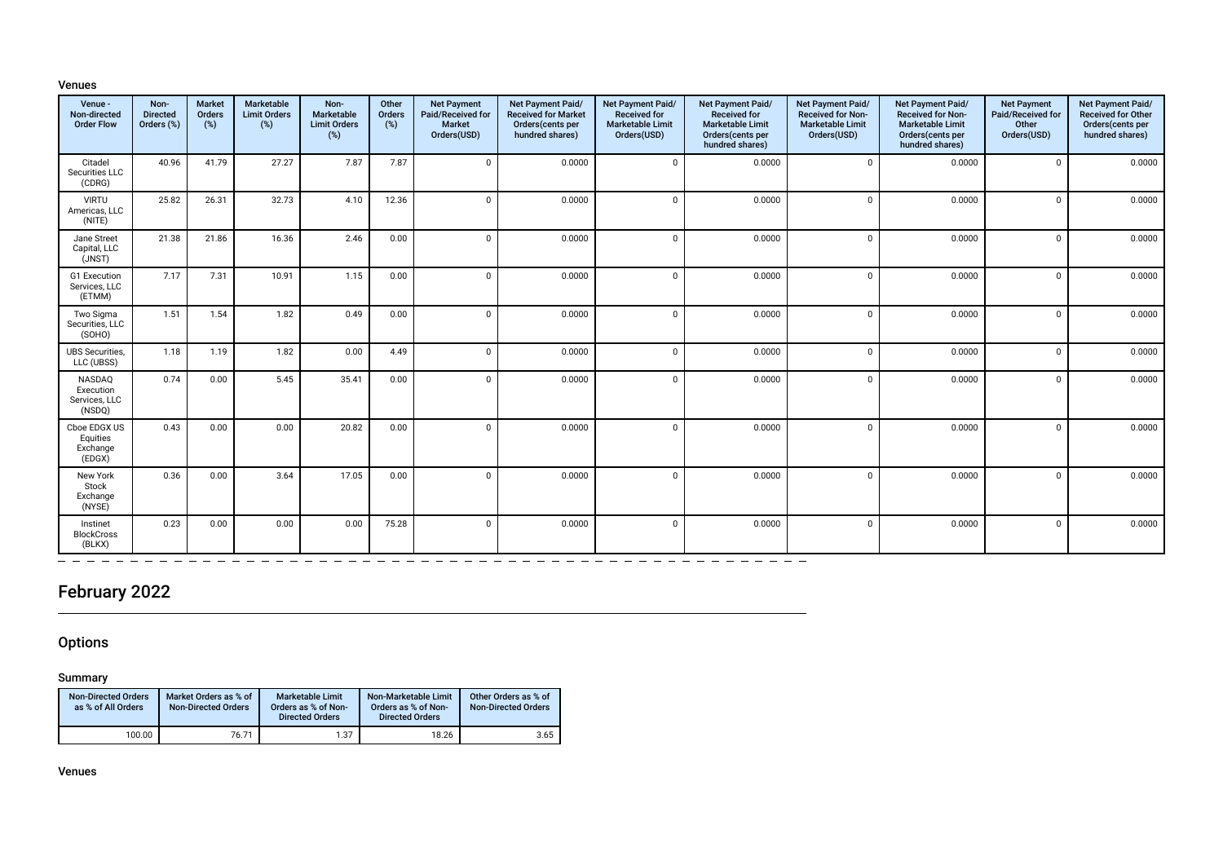#### Venues

| Venue -<br>Non-directed<br><b>Order Flow</b>   | Non-<br><b>Directed</b><br>Orders (%) | <b>Market</b><br>Orders<br>(%) | Marketable<br><b>Limit Orders</b><br>(%) | Non-<br>Marketable<br><b>Limit Orders</b><br>(%) | Other<br>Orders<br>(%) | <b>Net Payment</b><br>Paid/Received for<br><b>Market</b><br>Orders(USD) | Net Payment Paid/<br><b>Received for Market</b><br>Orders(cents per<br>hundred shares) | Net Payment Paid/<br><b>Received for</b><br><b>Marketable Limit</b><br>Orders(USD) | Net Payment Paid/<br><b>Received for</b><br><b>Marketable Limit</b><br>Orders(cents per<br>hundred shares) | Net Payment Paid/<br><b>Received for Non-</b><br><b>Marketable Limit</b><br>Orders(USD) | Net Payment Paid/<br><b>Received for Non-</b><br><b>Marketable Limit</b><br>Orders(cents per<br>hundred shares) | <b>Net Payment</b><br>Paid/Received for<br>Other<br>Orders(USD) | Net Payment Paid/<br><b>Received for Other</b><br>Orders(cents per<br>hundred shares) |
|------------------------------------------------|---------------------------------------|--------------------------------|------------------------------------------|--------------------------------------------------|------------------------|-------------------------------------------------------------------------|----------------------------------------------------------------------------------------|------------------------------------------------------------------------------------|------------------------------------------------------------------------------------------------------------|-----------------------------------------------------------------------------------------|-----------------------------------------------------------------------------------------------------------------|-----------------------------------------------------------------|---------------------------------------------------------------------------------------|
| Citadel<br>Securities LLC<br>(CDRG)            | 40.96                                 | 41.79                          | 27.27                                    | 7.87                                             | 7.87                   | $\Omega$                                                                | 0.0000                                                                                 | $\mathbf 0$                                                                        | 0.0000                                                                                                     | $\mathbf 0$                                                                             | 0.0000                                                                                                          | $\mathbf 0$                                                     | 0.0000                                                                                |
| <b>VIRTU</b><br>Americas, LLC<br>(NITE)        | 25.82                                 | 26.31                          | 32.73                                    | 4.10                                             | 12.36                  | $\Omega$                                                                | 0.0000                                                                                 | $\Omega$                                                                           | 0.0000                                                                                                     | $\Omega$                                                                                | 0.0000                                                                                                          | $\Omega$                                                        | 0.0000                                                                                |
| Jane Street<br>Capital, LLC<br>(JNST)          | 21.38                                 | 21.86                          | 16.36                                    | 2.46                                             | 0.00                   | $\Omega$                                                                | 0.0000                                                                                 | $\Omega$                                                                           | 0.0000                                                                                                     | $\Omega$                                                                                | 0.0000                                                                                                          | $\Omega$                                                        | 0.0000                                                                                |
| G1 Execution<br>Services, LLC<br>(ETMM)        | 7.17                                  | 7.31                           | 10.91                                    | 1.15                                             | 0.00                   | $\Omega$                                                                | 0.0000                                                                                 | $\Omega$                                                                           | 0.0000                                                                                                     | $\Omega$                                                                                | 0.0000                                                                                                          | $\Omega$                                                        | 0.0000                                                                                |
| Two Sigma<br>Securities, LLC<br>(SOHO)         | 1.51                                  | 1.54                           | 1.82                                     | 0.49                                             | 0.00                   | $\Omega$                                                                | 0.0000                                                                                 | $\Omega$                                                                           | 0.0000                                                                                                     | $\Omega$                                                                                | 0.0000                                                                                                          | $\mathbf 0$                                                     | 0.0000                                                                                |
| <b>UBS</b> Securities,<br>LLC (UBSS)           | 1.18                                  | 1.19                           | 1.82                                     | 0.00                                             | 4.49                   | $\Omega$                                                                | 0.0000                                                                                 | $\Omega$                                                                           | 0.0000                                                                                                     | $\Omega$                                                                                | 0.0000                                                                                                          | $\mathbf 0$                                                     | 0.0000                                                                                |
| NASDAQ<br>Execution<br>Services, LLC<br>(NSDQ) | 0.74                                  | 0.00                           | 5.45                                     | 35.41                                            | 0.00                   | $\Omega$                                                                | 0.0000                                                                                 | $\Omega$                                                                           | 0.0000                                                                                                     | $\Omega$                                                                                | 0.0000                                                                                                          | $\Omega$                                                        | 0.0000                                                                                |
| Cboe EDGX US<br>Equities<br>Exchange<br>(EDGX) | 0.43                                  | 0.00                           | 0.00                                     | 20.82                                            | 0.00                   | $\Omega$                                                                | 0.0000                                                                                 | $\Omega$                                                                           | 0.0000                                                                                                     | $\Omega$                                                                                | 0.0000                                                                                                          | $\Omega$                                                        | 0.0000                                                                                |
| New York<br>Stock<br>Exchange<br>(NYSE)        | 0.36                                  | 0.00                           | 3.64                                     | 17.05                                            | 0.00                   | $\Omega$                                                                | 0.0000                                                                                 | $\Omega$                                                                           | 0.0000                                                                                                     | $\Omega$                                                                                | 0.0000                                                                                                          | $\Omega$                                                        | 0.0000                                                                                |
| Instinet<br><b>BlockCross</b><br>(BLKX)        | 0.23                                  | 0.00                           | 0.00                                     | 0.00                                             | 75.28                  | $\Omega$                                                                | 0.0000                                                                                 | $\Omega$                                                                           | 0.0000                                                                                                     | $\Omega$                                                                                | 0.0000                                                                                                          | $\Omega$                                                        | 0.0000                                                                                |

## February 2022

### **Options**

### Summary

| <b>Non-Directed Orders</b><br>as % of All Orders | Market Orders as % of<br><b>Non-Directed Orders</b> | <b>Marketable Limit</b><br>Orders as % of Non-<br><b>Directed Orders</b> | Non-Marketable Limit<br>Orders as % of Non-<br><b>Directed Orders</b> | Other Orders as % of<br><b>Non-Directed Orders</b> |
|--------------------------------------------------|-----------------------------------------------------|--------------------------------------------------------------------------|-----------------------------------------------------------------------|----------------------------------------------------|
| 100.00                                           | 76.71                                               | 1.37                                                                     | 18.26                                                                 | 3.65                                               |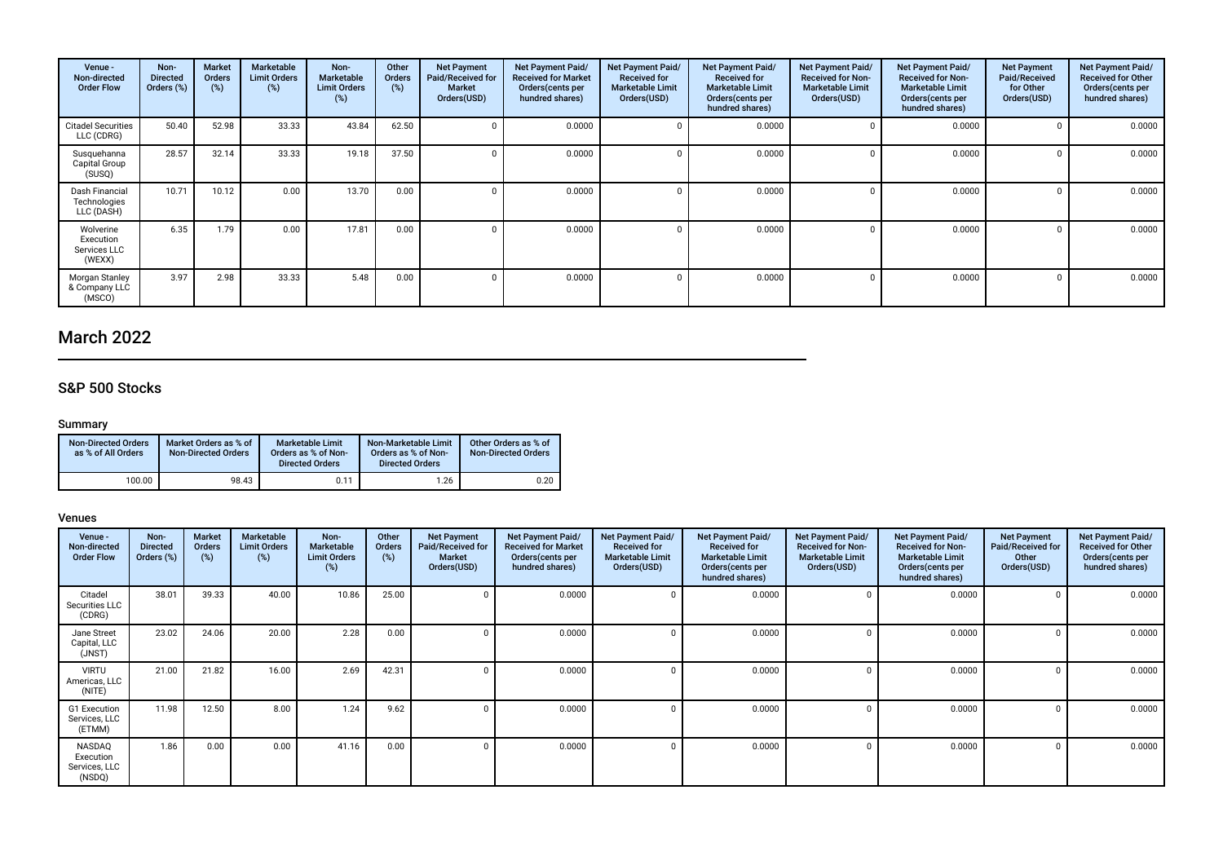| Venue -<br>Non-directed<br><b>Order Flow</b>     | Non-<br><b>Directed</b><br>Orders (%) | Market<br><b>Orders</b><br>(%) | Marketable<br><b>Limit Orders</b><br>(%) | Non-<br><b>Marketable</b><br><b>Limit Orders</b><br>(%) | Other<br><b>Orders</b><br>(%) | <b>Net Payment</b><br>Paid/Received for<br><b>Market</b><br>Orders(USD) | Net Payment Paid/<br><b>Received for Market</b><br>Orders (cents per<br>hundred shares) | Net Payment Paid/<br><b>Received for</b><br><b>Marketable Limit</b><br>Orders(USD) | Net Payment Paid/<br><b>Received for</b><br><b>Marketable Limit</b><br>Orders (cents per<br>hundred shares) | Net Payment Paid/<br><b>Received for Non-</b><br><b>Marketable Limit</b><br>Orders(USD) | Net Payment Paid/<br><b>Received for Non-</b><br><b>Marketable Limit</b><br>Orders (cents per<br>hundred shares) | <b>Net Payment</b><br>Paid/Received<br>for Other<br>Orders(USD) | Net Payment Paid/<br><b>Received for Other</b><br>Orders(cents per<br>hundred shares) |
|--------------------------------------------------|---------------------------------------|--------------------------------|------------------------------------------|---------------------------------------------------------|-------------------------------|-------------------------------------------------------------------------|-----------------------------------------------------------------------------------------|------------------------------------------------------------------------------------|-------------------------------------------------------------------------------------------------------------|-----------------------------------------------------------------------------------------|------------------------------------------------------------------------------------------------------------------|-----------------------------------------------------------------|---------------------------------------------------------------------------------------|
| <b>Citadel Securities</b><br>LLC (CDRG)          | 50.40                                 | 52.98                          | 33.33                                    | 43.84                                                   | 62.50                         |                                                                         | 0.0000                                                                                  |                                                                                    | 0.0000                                                                                                      |                                                                                         | 0.0000                                                                                                           |                                                                 | 0.0000                                                                                |
| Susquehanna<br>Capital Group<br>(SUSQ)           | 28.57                                 | 32.14                          | 33.33                                    | 19.18                                                   | 37.50                         |                                                                         | 0.0000                                                                                  |                                                                                    | 0.0000                                                                                                      |                                                                                         | 0.0000                                                                                                           |                                                                 | 0.0000                                                                                |
| Dash Financial<br>Technologies<br>LLC (DASH)     | 10.71                                 | 10.12                          | 0.00                                     | 13.70                                                   | 0.00                          |                                                                         | 0.0000                                                                                  |                                                                                    | 0.0000                                                                                                      |                                                                                         | 0.0000                                                                                                           |                                                                 | 0.0000                                                                                |
| Wolverine<br>Execution<br>Services LLC<br>(WEXX) | 6.35                                  | 1.79                           | 0.00                                     | 17.81                                                   | 0.00                          |                                                                         | 0.0000                                                                                  |                                                                                    | 0.0000                                                                                                      | $\Omega$                                                                                | 0.0000                                                                                                           |                                                                 | 0.0000                                                                                |
| Morgan Stanley<br>& Company LLC<br>(MSCO)        | 3.97                                  | 2.98                           | 33.33                                    | 5.48                                                    | 0.00                          |                                                                         | 0.0000                                                                                  |                                                                                    | 0.0000                                                                                                      |                                                                                         | 0.0000                                                                                                           |                                                                 | 0.0000                                                                                |

# March 2022

### S&P 500 Stocks

### Summary

| <b>Non-Directed Orders</b><br>as % of All Orders | Market Orders as % of<br><b>Non-Directed Orders</b> | Marketable Limit<br>Orders as % of Non-<br><b>Directed Orders</b> | Non-Marketable Limit<br>Orders as % of Non-<br><b>Directed Orders</b> | Other Orders as % of<br><b>Non-Directed Orders</b> |
|--------------------------------------------------|-----------------------------------------------------|-------------------------------------------------------------------|-----------------------------------------------------------------------|----------------------------------------------------|
| 100.00                                           | 98.43                                               | 0.11                                                              | 1.26                                                                  | 0.20                                               |

| Venue -<br>Non-directed<br><b>Order Flow</b>          | Non-<br><b>Directed</b><br>Orders (%) | <b>Market</b><br>Orders<br>(%) | Marketable<br><b>Limit Orders</b><br>$(\%)$ | Non-<br><b>Marketable</b><br><b>Limit Orders</b><br>(%) | Other<br>Orders<br>(%) | <b>Net Payment</b><br>Paid/Received for<br><b>Market</b><br>Orders(USD) | Net Payment Paid/<br><b>Received for Market</b><br>Orders(cents per<br>hundred shares) | Net Payment Paid/<br><b>Received for</b><br><b>Marketable Limit</b><br>Orders(USD) | Net Payment Paid/<br><b>Received for</b><br><b>Marketable Limit</b><br>Orders(cents per<br>hundred shares) | Net Payment Paid/<br><b>Received for Non-</b><br><b>Marketable Limit</b><br>Orders(USD) | Net Payment Paid/<br><b>Received for Non-</b><br><b>Marketable Limit</b><br>Orders (cents per<br>hundred shares) | <b>Net Payment</b><br>Paid/Received for<br>Other<br>Orders(USD) | Net Payment Paid/<br><b>Received for Other</b><br>Orders(cents per<br>hundred shares) |
|-------------------------------------------------------|---------------------------------------|--------------------------------|---------------------------------------------|---------------------------------------------------------|------------------------|-------------------------------------------------------------------------|----------------------------------------------------------------------------------------|------------------------------------------------------------------------------------|------------------------------------------------------------------------------------------------------------|-----------------------------------------------------------------------------------------|------------------------------------------------------------------------------------------------------------------|-----------------------------------------------------------------|---------------------------------------------------------------------------------------|
| Citadel<br>Securities LLC<br>(CDRG)                   | 38.01                                 | 39.33                          | 40.00                                       | 10.86                                                   | 25.00                  |                                                                         | 0.0000                                                                                 |                                                                                    | 0.0000                                                                                                     |                                                                                         | 0.0000                                                                                                           |                                                                 | 0.0000                                                                                |
| Jane Street<br>Capital, LLC<br>(JNST)                 | 23.02                                 | 24.06                          | 20.00                                       | 2.28                                                    | 0.00                   |                                                                         | 0.0000                                                                                 |                                                                                    | 0.0000                                                                                                     |                                                                                         | 0.0000                                                                                                           |                                                                 | 0.0000                                                                                |
| <b>VIRTU</b><br>Americas, LLC<br>(NITE)               | 21.00                                 | 21.82                          | 16.00                                       | 2.69                                                    | 42.31                  |                                                                         | 0.0000                                                                                 |                                                                                    | 0.0000                                                                                                     |                                                                                         | 0.0000                                                                                                           |                                                                 | 0.0000                                                                                |
| G1 Execution<br>Services, LLC<br>(ETMM)               | 11.98                                 | 12.50                          | 8.00                                        | 1.24                                                    | 9.62                   |                                                                         | 0.0000                                                                                 |                                                                                    | 0.0000                                                                                                     |                                                                                         | 0.0000                                                                                                           |                                                                 | 0.0000                                                                                |
| <b>NASDAO</b><br>Execution<br>Services, LLC<br>(NSDQ) | 1.86                                  | 0.00                           | 0.00                                        | 41.16                                                   | 0.00                   |                                                                         | 0.0000                                                                                 |                                                                                    | 0.0000                                                                                                     |                                                                                         | 0.0000                                                                                                           |                                                                 | 0.0000                                                                                |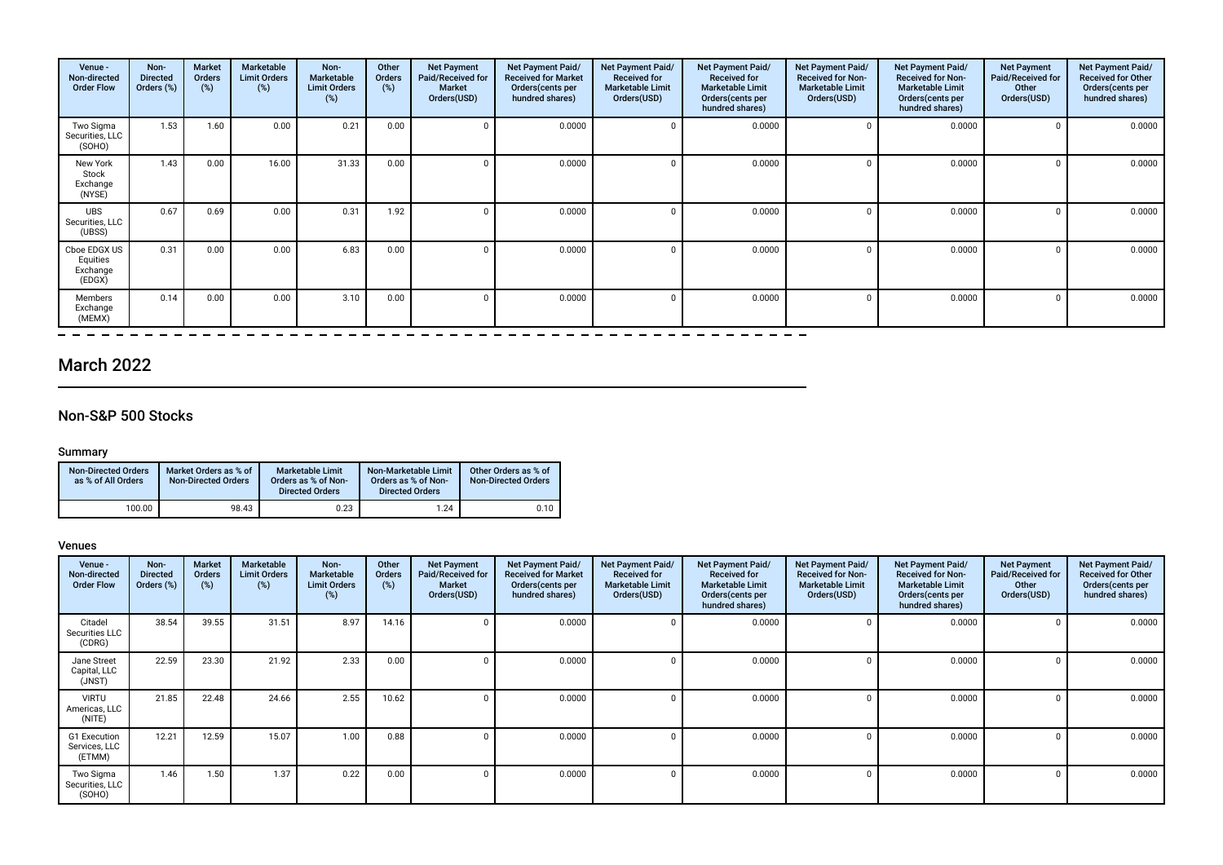| Venue -<br>Non-directed<br><b>Order Flow</b>   | Non-<br><b>Directed</b><br>Orders (%) | <b>Market</b><br>Orders<br>(%) | Marketable<br><b>Limit Orders</b><br>(%) | Non-<br>Marketable<br><b>Limit Orders</b><br>(%) | Other<br>Orders<br>(%) | <b>Net Payment</b><br>Paid/Received for<br><b>Market</b><br>Orders(USD) | Net Payment Paid/<br><b>Received for Market</b><br>Orders(cents per<br>hundred shares) | Net Payment Paid/<br><b>Received for</b><br><b>Marketable Limit</b><br>Orders(USD) | Net Payment Paid/<br><b>Received for</b><br><b>Marketable Limit</b><br>Orders(cents per<br>hundred shares) | Net Payment Paid/<br><b>Received for Non-</b><br><b>Marketable Limit</b><br>Orders(USD) | Net Payment Paid/<br><b>Received for Non-</b><br><b>Marketable Limit</b><br>Orders (cents per<br>hundred shares) | <b>Net Payment</b><br>Paid/Received for<br>Other<br>Orders(USD) | Net Payment Paid/<br><b>Received for Other</b><br>Orders(cents per<br>hundred shares) |
|------------------------------------------------|---------------------------------------|--------------------------------|------------------------------------------|--------------------------------------------------|------------------------|-------------------------------------------------------------------------|----------------------------------------------------------------------------------------|------------------------------------------------------------------------------------|------------------------------------------------------------------------------------------------------------|-----------------------------------------------------------------------------------------|------------------------------------------------------------------------------------------------------------------|-----------------------------------------------------------------|---------------------------------------------------------------------------------------|
| Two Sigma<br>Securities, LLC<br>(SOHO)         | 1.53                                  | 1.60                           | 0.00                                     | 0.21                                             | 0.00                   |                                                                         | 0.0000                                                                                 |                                                                                    | 0.0000                                                                                                     |                                                                                         | 0.0000                                                                                                           |                                                                 | 0.0000                                                                                |
| New York<br>Stock<br>Exchange<br>(NYSE)        | 1.43                                  | 0.00                           | 16.00                                    | 31.33                                            | 0.00                   |                                                                         | 0.0000                                                                                 |                                                                                    | 0.0000                                                                                                     |                                                                                         | 0.0000                                                                                                           |                                                                 | 0.0000                                                                                |
| <b>UBS</b><br>Securities, LLC<br>(UBSS)        | 0.67                                  | 0.69                           | 0.00                                     | 0.31                                             | 1.92                   |                                                                         | 0.0000                                                                                 |                                                                                    | 0.0000                                                                                                     |                                                                                         | 0.0000                                                                                                           |                                                                 | 0.0000                                                                                |
| Cboe EDGX US<br>Equities<br>Exchange<br>(EDGX) | 0.31                                  | 0.00                           | 0.00                                     | 6.83                                             | 0.00                   |                                                                         | 0.0000                                                                                 |                                                                                    | 0.0000                                                                                                     |                                                                                         | 0.0000                                                                                                           |                                                                 | 0.0000                                                                                |
| Members<br>Exchange<br>(MEMX)                  | 0.14                                  | 0.00                           | 0.00                                     | 3.10                                             | 0.00                   |                                                                         | 0.0000                                                                                 |                                                                                    | 0.0000                                                                                                     |                                                                                         | 0.0000                                                                                                           |                                                                 | 0.0000                                                                                |

----------------------------------

## March 2022

### Non-S&P 500 Stocks

----------------

### Summary

| <b>Non-Directed Orders</b><br>as % of All Orders | Market Orders as % of<br><b>Non-Directed Orders</b> | Marketable Limit<br>Orders as % of Non-<br><b>Directed Orders</b> | Non-Marketable Limit<br>Orders as % of Non-<br><b>Directed Orders</b> | Other Orders as % of<br><b>Non-Directed Orders</b> |
|--------------------------------------------------|-----------------------------------------------------|-------------------------------------------------------------------|-----------------------------------------------------------------------|----------------------------------------------------|
| 100.00                                           | 98.43                                               | 0.23                                                              | 1.24                                                                  | 0.10                                               |

 $= \equiv$ 

| Venue -<br>Non-directed<br><b>Order Flow</b> | Non-<br><b>Directed</b><br>Orders (%) | <b>Market</b><br>Orders<br>$(\%)$ | Marketable<br><b>Limit Orders</b><br>(%) | Non-<br>Marketable<br><b>Limit Orders</b><br>(%) | Other<br>Orders<br>(%) | <b>Net Payment</b><br>Paid/Received for<br><b>Market</b><br>Orders(USD) | Net Payment Paid/<br><b>Received for Market</b><br>Orders(cents per<br>hundred shares) | Net Payment Paid/<br><b>Received for</b><br><b>Marketable Limit</b><br>Orders(USD) | Net Payment Paid/<br><b>Received for</b><br><b>Marketable Limit</b><br>Orders (cents per<br>hundred shares) | Net Payment Paid/<br><b>Received for Non-</b><br><b>Marketable Limit</b><br>Orders(USD) | Net Payment Paid/<br><b>Received for Non-</b><br><b>Marketable Limit</b><br>Orders (cents per<br>hundred shares) | <b>Net Payment</b><br>Paid/Received for<br>Other<br>Orders(USD) | Net Payment Paid/<br><b>Received for Other</b><br>Orders(cents per<br>hundred shares) |
|----------------------------------------------|---------------------------------------|-----------------------------------|------------------------------------------|--------------------------------------------------|------------------------|-------------------------------------------------------------------------|----------------------------------------------------------------------------------------|------------------------------------------------------------------------------------|-------------------------------------------------------------------------------------------------------------|-----------------------------------------------------------------------------------------|------------------------------------------------------------------------------------------------------------------|-----------------------------------------------------------------|---------------------------------------------------------------------------------------|
| Citadel<br>Securities LLC<br>(CDRG)          | 38.54                                 | 39.55                             | 31.51                                    | 8.97                                             | 14.16                  |                                                                         | 0.0000                                                                                 |                                                                                    | 0.0000                                                                                                      |                                                                                         | 0.0000                                                                                                           | 0                                                               | 0.0000                                                                                |
| Jane Street<br>Capital, LLC<br>(JNST)        | 22.59                                 | 23.30                             | 21.92                                    | 2.33                                             | 0.00                   |                                                                         | 0.0000                                                                                 |                                                                                    | 0.0000                                                                                                      | $\Omega$                                                                                | 0.0000                                                                                                           | 0                                                               | 0.0000                                                                                |
| <b>VIRTU</b><br>Americas, LLC<br>(NITE)      | 21.85                                 | 22.48                             | 24.66                                    | 2.55                                             | 10.62                  |                                                                         | 0.0000                                                                                 |                                                                                    | 0.0000                                                                                                      | $\Omega$                                                                                | 0.0000                                                                                                           | $\Omega$                                                        | 0.0000                                                                                |
| G1 Execution<br>Services, LLC<br>(ETMM)      | 12.21                                 | 12.59                             | 15.07                                    | 1.00                                             | 0.88                   |                                                                         | 0.0000                                                                                 |                                                                                    | 0.0000                                                                                                      | $\Omega$                                                                                | 0.0000                                                                                                           | $\Omega$                                                        | 0.0000                                                                                |
| Two Sigma<br>Securities, LLC<br>(SOHO)       | 1.46                                  | 1.50                              | 1.37                                     | 0.22                                             | 0.00                   |                                                                         | 0.0000                                                                                 |                                                                                    | 0.0000                                                                                                      | $\Omega$                                                                                | 0.0000                                                                                                           | $\mathbf{0}$                                                    | 0.0000                                                                                |